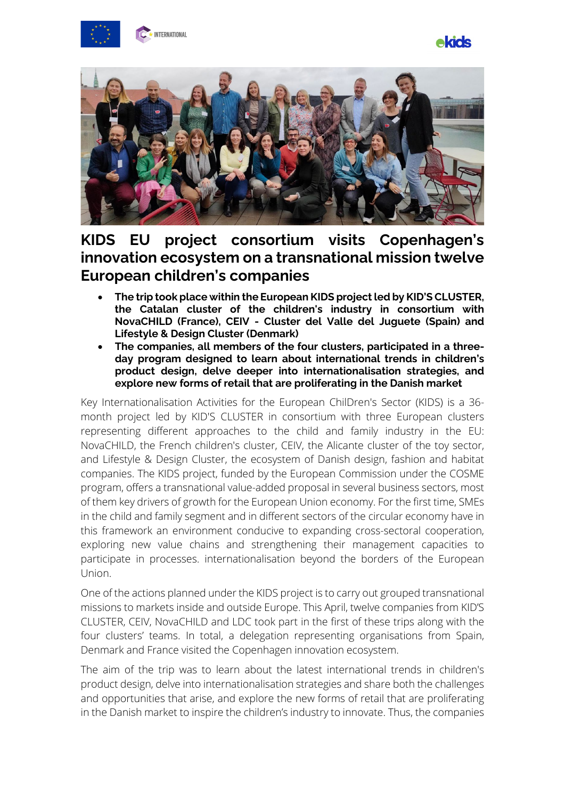





## **KIDS EU project consortium visits Copenhagen's innovation ecosystem on a transnational mission twelve European children's companies**

- **The trip took place within the European KIDS project led by KID'S CLUSTER, the Catalan cluster of the children's industry in consortium with NovaCHILD (France), CEIV - Cluster del Valle del Juguete (Spain) and Lifestyle & Design Cluster (Denmark)**
- **The companies, all members of the four clusters, participated in a threeday program designed to learn about international trends in children's product design, delve deeper into internationalisation strategies, and explore new forms of retail that are proliferating in the Danish market**

Key Internationalisation Activities for the European ChilDren's Sector (KIDS) is a 36 month project led by KID'S CLUSTER in consortium with three European clusters representing different approaches to the child and family industry in the EU: NovaCHILD, the French children's cluster, CEIV, the Alicante cluster of the toy sector, and Lifestyle & Design Cluster, the ecosystem of Danish design, fashion and habitat companies. The KIDS project, funded by the European Commission under the COSME program, offers a transnational value-added proposal in several business sectors, most of them key drivers of growth for the European Union economy. For the first time, SMEs in the child and family segment and in different sectors of the circular economy have in this framework an environment conducive to expanding cross-sectoral cooperation, exploring new value chains and strengthening their management capacities to participate in processes. internationalisation beyond the borders of the European Union.

One of the actions planned under the KIDS project is to carry out grouped transnational missions to markets inside and outside Europe. This April, twelve companies from KID'S CLUSTER, CEIV, NovaCHILD and LDC took part in the first of these trips along with the four clusters' teams. In total, a delegation representing organisations from Spain, Denmark and France visited the Copenhagen innovation ecosystem.

The aim of the trip was to learn about the latest international trends in children's product design, delve into internationalisation strategies and share both the challenges and opportunities that arise, and explore the new forms of retail that are proliferating in the Danish market to inspire the children's industry to innovate. Thus, the companies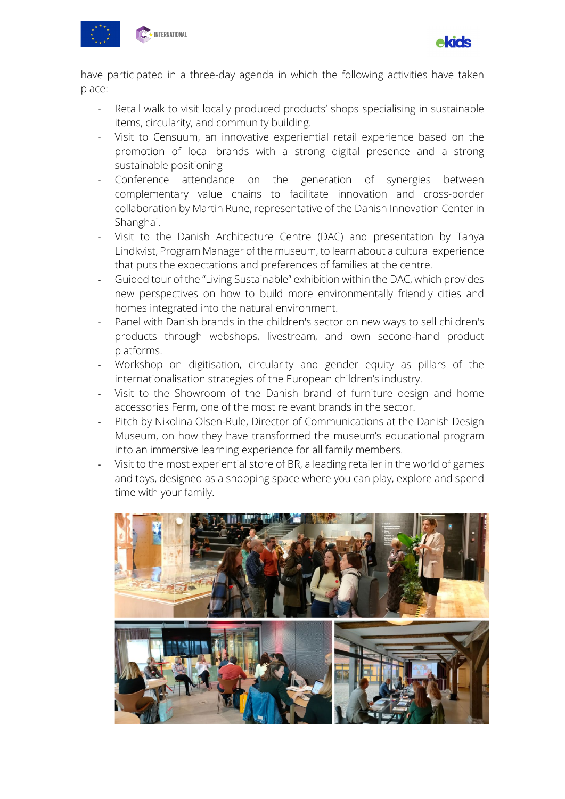



have participated in a three-day agenda in which the following activities have taken place:

- Retail walk to visit locally produced products' shops specialising in sustainable items, circularity, and community building.
- Visit to Censuum, an innovative experiential retail experience based on the promotion of local brands with a strong digital presence and a strong sustainable positioning
- Conference attendance on the generation of synergies between complementary value chains to facilitate innovation and cross-border collaboration by Martin Rune, representative of the Danish Innovation Center in Shanghai.
- Visit to the Danish Architecture Centre (DAC) and presentation by Tanya Lindkvist, Program Manager of the museum, to learn about a cultural experience that puts the expectations and preferences of families at the centre.
- Guided tour of the "Living Sustainable" exhibition within the DAC, which provides new perspectives on how to build more environmentally friendly cities and homes integrated into the natural environment.
- Panel with Danish brands in the children's sector on new ways to sell children's products through webshops, livestream, and own second-hand product platforms.
- Workshop on digitisation, circularity and gender equity as pillars of the internationalisation strategies of the European children's industry.
- Visit to the Showroom of the Danish brand of furniture design and home accessories Ferm, one of the most relevant brands in the sector.
- Pitch by Nikolina Olsen-Rule, Director of Communications at the Danish Design Museum, on how they have transformed the museum's educational program into an immersive learning experience for all family members.
- Visit to the most experiential store of BR, a leading retailer in the world of games and toys, designed as a shopping space where you can play, explore and spend time with your family.